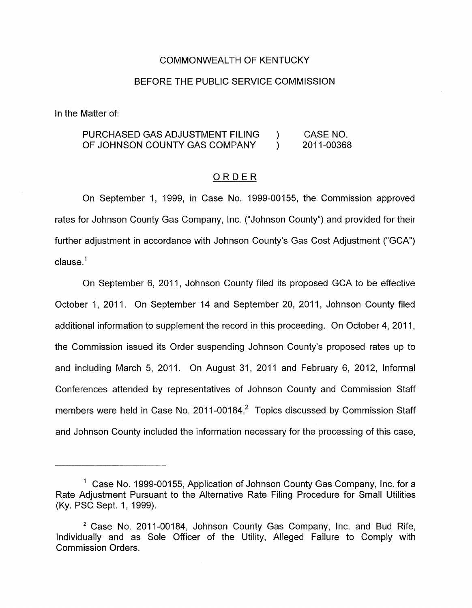#### COMMONWEALTH OF KENTUCKY

#### BEFORE THE PUBLIC SERVICE COMMISSION

In the Matter of:

## PURCHASED GAS ADJUSTMENT FILING ) CASE NO. OF JOHNSON COUNTY GAS COMPANY ) 2011-00368

### ORDER

On September 1, 1999, in Case No. 1999-00155, the Commission approved rates for Johnson County Gas Company, Inc. ("Johnson County") and provided for their further adjustment in accordance with Johnson County's Gas Cost Adjustment ("GCA") clause.<sup>1</sup>

On September 6, 2011, Johnson County filed its proposed GCA to be effective October 1, 2011. On September 14 and September 20, 2011, Johnson County filed additional information to supplement the record in this proceeding. On October 4, 2011, the Commission issued its Order suspending Johnson County's proposed rates up to and including March 5, 2011. On August 31, 2011 and February 6, 2012, Informal Conferences attended by representatives of Johnson County and Commission Staff members were held in Case No. 2011-00184. $^2$  Topics discussed by Commission Staff and Johnson County included the information necessary for the processing of this case,

 $1$  Case No. 1999-00155, Application of Johnson County Gas Company, Inc. for a Rate Adjustment Pursuant to the Alternative Rate Filing Procedure for Small Utilities (Ky. PSC Sept. 1, 1999).

<sup>&</sup>lt;sup>2</sup> Case No. 2011-00184, Johnson County Gas Company, Inc. and Bud Rife, Individually and as Sole Officer of the Utility, Alleged Failure to Comply with Commission Orders.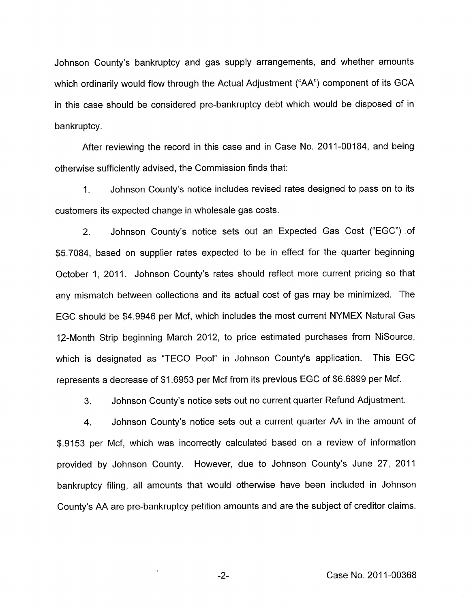Johnson County's bankruptcy and gas supply arrangements, and whether amounts which ordinarily would flow through the Actual Adjustment ("AA") component of its GCA in this case should be considered pre-bankruptcy debt which would be disposed of in bankruptcy.

After reviewing the record in this case and in Case No. 2011-00184, and being otherwise sufficiently advised, the Commission finds that:

1. Johnson County's notice includes revised rates designed to pass on to its customers its expected change in wholesale gas costs.

2. Johnson County's notice sets out an Expected Gas Cost ("EGC") of \$5.7084, based on supplier rates expected to be in effect for the quarter beginning October 1, 2011. Johnson County's rates should reflect more current pricing so that any mismatch between collections and its actual cost of gas may be minimized. The EGC should be \$4.9946 per Mcf, which includes the most current NYMEX Natural Gas 12-Month Strip beginning March 2012, to price estimated purchases from NiSource, which is designated as "TECO Pool" in Johnson County's application. This EGC represents a decrease of \$1.6953 per Mcf from its previous EGC of \$6.6899 per Mcf.

3. Johnson County's notice sets out no current quarter Refund Adjustment.

4. Johnson County's notice sets out a current quarter AA in the amount of \$.9153 per Mcf, which was incorrectly calculated based on a review of information provided by Johnson County. However, due to Johnson County's June 27, 2011 bankruptcy filing, all amounts that would otherwise have been included in Johnson County's AA are pre-bankruptcy petition amounts and are the subject of creditor claims.

-2- Case No. 2011-00368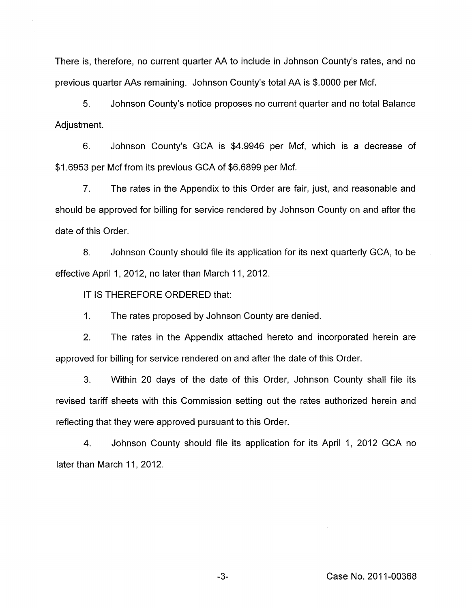There is, therefore, no current quarter AA to include in Johnson County's rates, and no previous quarter AAs remaining. Johnson County's total AA is \$.OOOO per Mcf.

*5.* Johnson County's notice proposes no current quarter and no total Balance Adjustment.

6. Johnson County's GCA is \$4.9946 per Mcf, which is a decrease of \$1.6953 per Mcf from its previous GCA of \$6.6899 per Mcf.

7. The rates in the Appendix to this Order are fair, just, and reasonable and should be approved for billing for service rendered by Johnson County on and after the date of this Order.

8. Johnson County should file its application for its next quarterly GCA, to be effective April 1, 2012, no later than March 11, 2012.

IT IS THEREFORE ORDERED that:

1. The rates proposed by Johnson County are denied.

2. The rates in the Appendix attached hereto and incorporated herein are approved for billing for service rendered on and after the date of this Order.

3. Within 20 days of the date of this Order, Johnson County shall file its revised tariff sheets with this Commission setting out the rates authorized herein and reflecting that they were approved pursuant to this Order.

4. Johnson County should file its application for its April 1, 2012 GCA no later than March 11, 2012.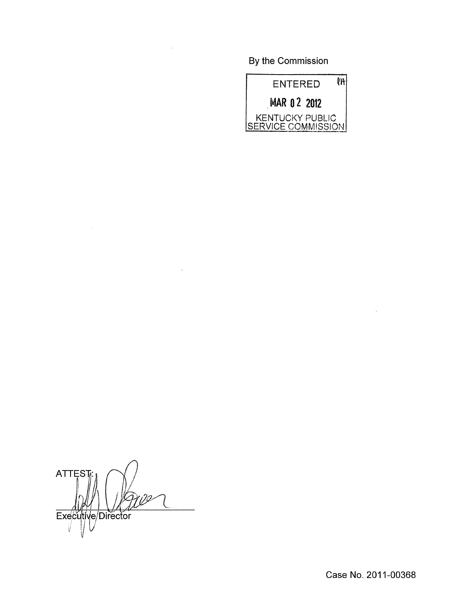By the Commission



**ATTEST** Executive/Director

 $\bar{a}$ 

Case No. 2011-00368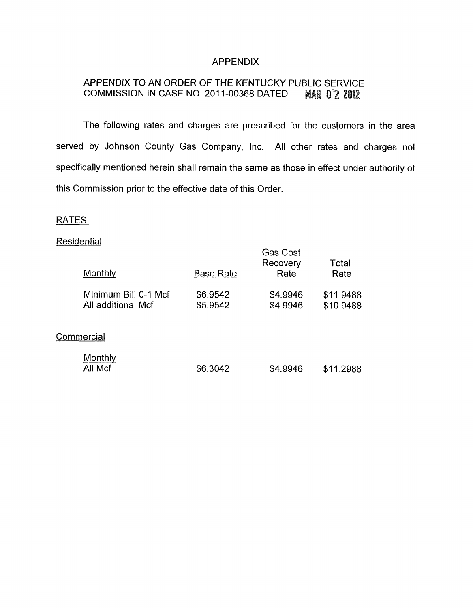## **APPENDIX**

#### APPENDIX TO AN ORDER OF THE KENTUCKY PUBLIC SERVICE COMMISSION IN CASE NO. 2011-00368 DATED **MAR 02 2012**

The following rates and charges are prescribed for the customers in the area served by Johnson County Gas Company, Inc. All other rates and charges not specifically mentioned herein shall remain the same as those in effect under authority of this Commission prior to the effective date of this Order.

## RATES:

# **Residential**

| Monthly                                    | <b>Base Rate</b>     | <b>Gas Cost</b><br>Recovery<br>Rate | Total<br>Rate          |
|--------------------------------------------|----------------------|-------------------------------------|------------------------|
| Minimum Bill 0-1 Mcf<br>All additional Mcf | \$6.9542<br>\$5.9542 | \$4.9946<br>\$4.9946                | \$11.9488<br>\$10.9488 |
| Commercial                                 |                      |                                     |                        |
| Monthly<br>All Mcf                         | \$6.3042             | \$4.9946                            | \$11.2988              |

 $\mathcal{A}$